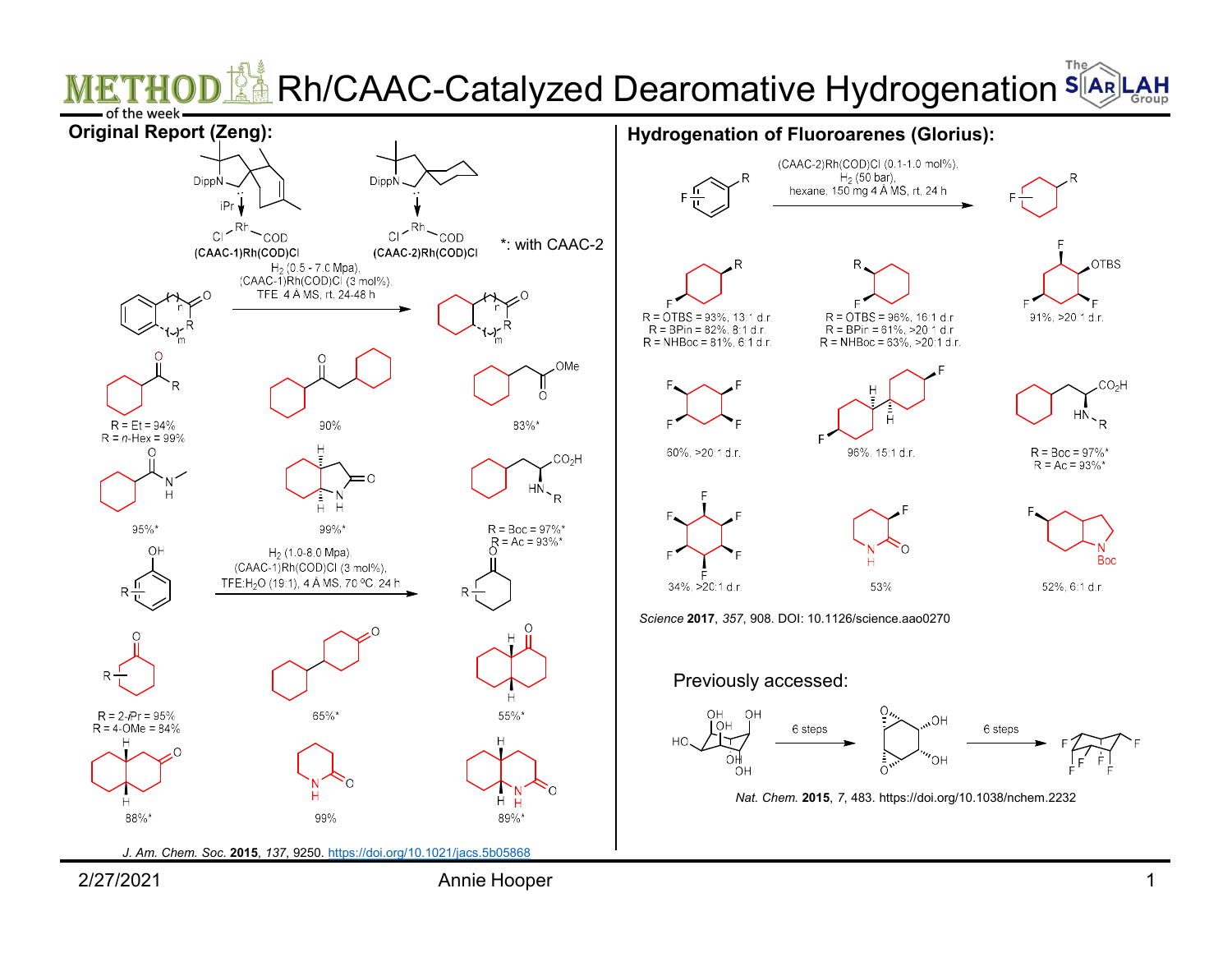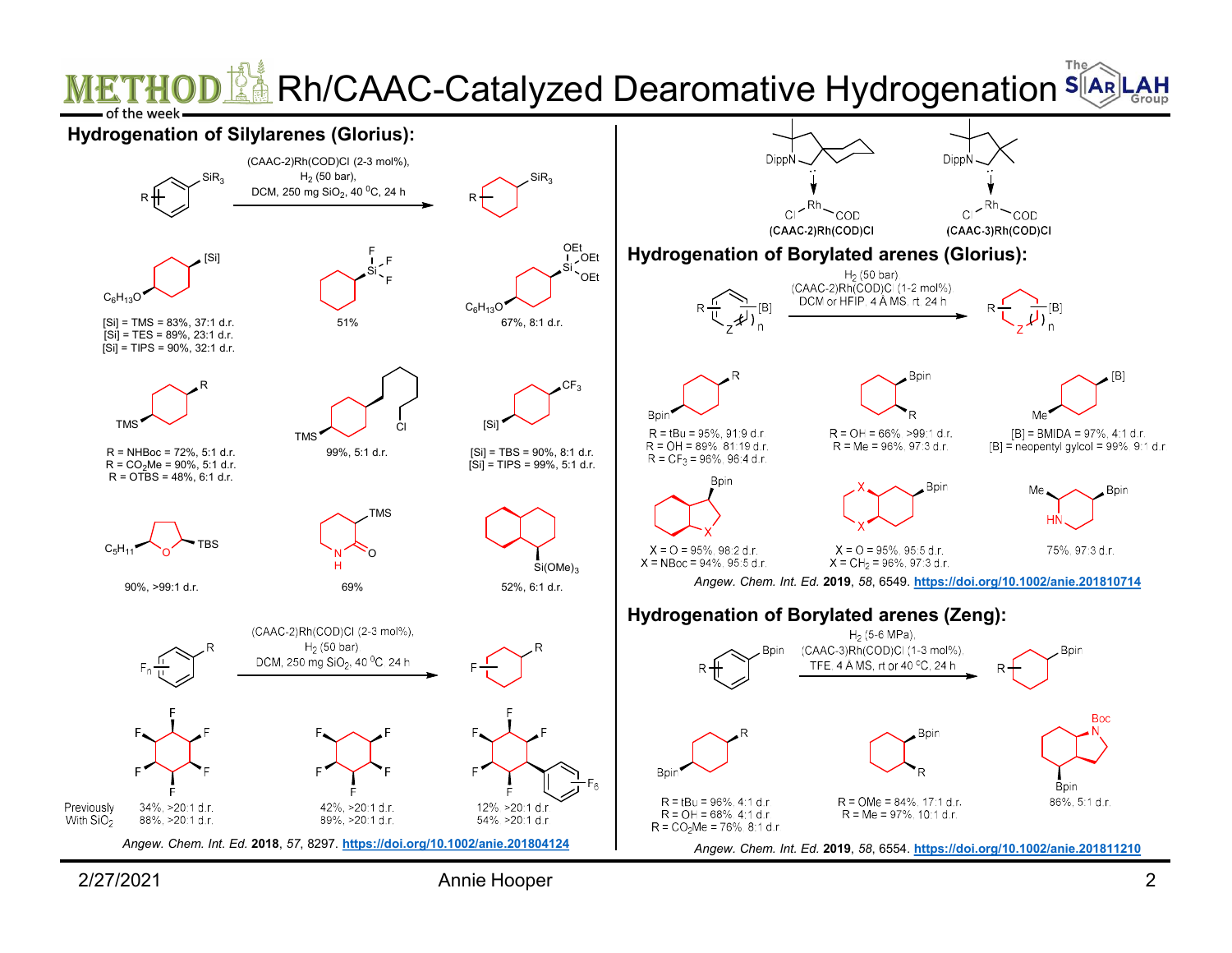